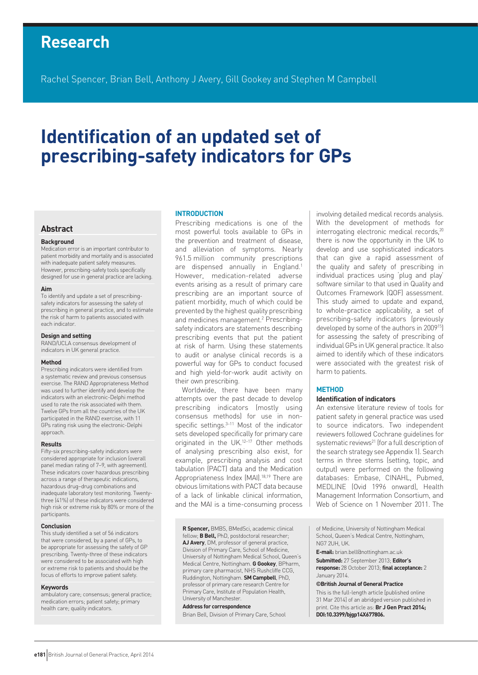# **Research**

Rachel Spencer, Brian Bell, Anthony J Avery, Gill Gookey and Stephen M Campbell

# **Identification of an updated set of prescribing-safety indicators for GPs**

## **Abstract**

#### **Background**

Medication error is an important contributor to patient morbidity and mortality and is associated with inadequate patient safety measures. However, prescribing-safety tools specifically designed for use in general practice are lacking.

#### **Aim**

To identify and update a set of prescribingsafety indicators for assessing the safety of prescribing in general practice, and to estimate the risk of harm to patients associated with each indicator.

**Design and setting**

RAND/UCLA consensus development of indicators in UK general practice.

#### **Method**

Prescribing indicators were identified from a systematic review and previous consensus exercise. The RAND Appropriateness Method was used to further identify and develop the indicators with an electronic-Delphi method used to rate the risk associated with them. Twelve GPs from all the countries of the UK participated in the RAND exercise, with 11 GPs rating risk using the electronic-Delphi approach.

#### **Results**

Fifty-six prescribing-safety indicators were considered appropriate for inclusion (overall panel median rating of 7–9, with agreement). These indicators cover hazardous prescribing across a range of therapeutic indications, hazardous drug–drug combinations and inadequate laboratory test monitoring. Twentythree (41%) of these indicators were considered high risk or extreme risk by 80% or more of the participants.

#### **Conclusion**

This study identified a set of 56 indicators that were considered, by a panel of GPs, to be appropriate for assessing the safety of GP prescribing. Twenty-three of these indicators were considered to be associated with high or extreme risk to patients and should be the focus of efforts to improve patient safety.

#### **Keywords**

ambulatory care; consensus; general practice; medication errors; patient safety; primary health care; quality indicators.

#### **INTRODUCTION**

Prescribing medications is one of the most powerful tools available to GPs in the prevention and treatment of disease, and alleviation of symptoms. Nearly 961.5 million community prescriptions are dispensed annually in England.<sup>1</sup> However, medication-related adverse events arising as a result of primary care prescribing are an important source of patient morbidity, much of which could be prevented by the highest quality prescribing and medicines management.<sup>2</sup> Prescribingsafety indicators are statements describing prescribing events that put the patient at risk of harm. Using these statements to audit or analyse clinical records is a powerful way for GPs to conduct focused and high yield-for-work audit activity on their own prescribing.

Worldwide, there have been many attempts over the past decade to develop prescribing indicators (mostly using consensus methods) for use in nonspecific settings.<sup>3-11</sup> Most of the indicator sets developed specifically for primary care originated in the UK.<sup>12-17</sup> Other methods of analysing prescribing also exist, for example, prescribing analysis and cost tabulation (PACT) data and the Medication Appropriateness Index (MAI).<sup>18,19</sup> There are obvious limitations with PACT data because of a lack of linkable clinical information, and the MAI is a time-consuming process

**R Spencer,** BMBS, BMedSci, academic clinical fellow; **B Bell,** PhD, postdoctoral researcher; **AJ Avery**, DM, professor of general practice, Division of Primary Care, School of Medicine, University of Nottingham Medical School, Queen's Medical Centre, Nottingham. **G Gookey**, BPharm, primary care pharmacist, NHS Rushcliffe CCG, Ruddington, Nottingham. **SM Campbell**, PhD, professor of primary care research Centre for Primary Care, Institute of Population Health, University of Manchester.

#### **Address for correspondence**

Brian Bell, Division of Primary Care, School

involving detailed medical records analysis. With the development of methods for interrogating electronic medical records,<sup>20</sup> there is now the opportunity in the UK to develop and use sophisticated indicators that can give a rapid assessment of the quality and safety of prescribing in individual practices using 'plug and play' software similar to that used in Quality and Outcomes Framework (QOF) assessment. This study aimed to update and expand, to whole-practice applicability, a set of prescribing-safety indicators (previously developed by some of the authors in 2009<sup>15</sup>) for assessing the safety of prescribing of individual GPs in UK general practice. It also aimed to identify which of these indicators were associated with the greatest risk of harm to patients.

## **METHOD**

# **Identification of indicators**

An extensive literature review of tools for patient safety in general practice was used to source indicators. Two independent reviewers followed Cochrane guidelines for systematic reviews<sup>21</sup> (for a full description of the search strategy see Appendix 1). Search terms in three stems (setting, topic, and output) were performed on the following databases: Embase, CINAHL, Pubmed, MEDLINE (Ovid 1996 onward), Health Management Information Consortium, and Web of Science on 1 November 2011. The

of Medicine, University of Nottingham Medical School, Queen's Medical Centre, Nottingham, NG7 2UH, UK.

**E-mail:** brian.bell@nottingham.ac.uk

**Submitted:** 27 September 2013; **Editor's response:** 28 October 2013; **final acceptance:** 2 January 2014.

#### **©British Journal of General Practice**

This is the full-length article [published online 31 Mar 2014] of an abridged version published in print. Cite this article as: **Br J Gen Pract 2014; DOI:10.3399/bjgp14X677806.**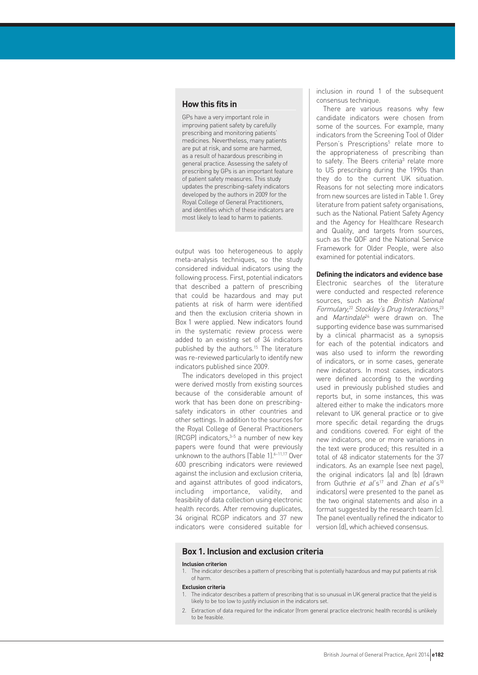# **How this fits in**

GPs have a very important role in improving patient safety by carefully prescribing and monitoring patients' medicines. Nevertheless, many patients are put at risk, and some are harmed, as a result of hazardous prescribing in general practice. Assessing the safety of prescribing by GPs is an important feature of patient safety measures. This study updates the prescribing-safety indicators developed by the authors in 2009 for the Royal College of General Practitioners, and identifies which of these indicators are most likely to lead to harm to patients.

output was too heterogeneous to apply meta-analysis techniques, so the study considered individual indicators using the following process. First, potential indicators that described a pattern of prescribing that could be hazardous and may put patients at risk of harm were identified and then the exclusion criteria shown in Box 1 were applied. New indicators found in the systematic review process were added to an existing set of 34 indicators published by the authors.<sup>15</sup> The literature was re-reviewed particularly to identify new indicators published since 2009.

The indicators developed in this project were derived mostly from existing sources because of the considerable amount of work that has been done on prescribingsafety indicators in other countries and other settings. In addition to the sources for the Royal College of General Practitioners (RCGP) indicators,3–5 a number of new key papers were found that were previously unknown to the authors (Table 1). $6-11,17$  Over 600 prescribing indicators were reviewed against the inclusion and exclusion criteria, and against attributes of good indicators, including importance, validity, and feasibility of data collection using electronic health records. After removing duplicates, 34 original RCGP indicators and 37 new indicators were considered suitable for

inclusion in round 1 of the subsequent consensus technique.

There are various reasons why few candidate indicators were chosen from some of the sources. For example, many indicators from the Screening Tool of Older Person's Prescriptions<sup>5</sup> relate more to the appropriateness of prescribing than to safety. The Beers criteria<sup>3</sup> relate more to US prescribing during the 1990s than they do to the current UK situation. Reasons for not selecting more indicators from new sources are listed in Table 1. Grey literature from patient safety organisations, such as the National Patient Safety Agency and the Agency for Healthcare Research and Quality, and targets from sources, such as the QOF and the National Service Framework for Older People, were also examined for potential indicators.

#### **Defining the indicators and evidence base**

Electronic searches of the literature were conducted and respected reference sources, such as the British National Formulary,<sup>22</sup> Stockley's Drug Interactions,<sup>23</sup> and *Martindale<sup>24</sup>* were drawn on. The supporting evidence base was summarised by a clinical pharmacist as a synopsis for each of the potential indicators and was also used to inform the rewording of indicators, or in some cases, generate new indicators. In most cases, indicators were defined according to the wording used in previously published studies and reports but, in some instances, this was altered either to make the indicators more relevant to UK general practice or to give more specific detail regarding the drugs and conditions covered. For eight of the new indicators, one or more variations in the text were produced; this resulted in a total of 48 indicator statements for the 37 indicators. As an example (see next page), the original indicators (a) and (b) (drawn from Guthrie et al's<sup>17</sup> and Zhan et al's<sup>10</sup> indicators) were presented to the panel as the two original statements and also in a format suggested by the research team (c). The panel eventually refined the indicator to version (d), which achieved consensus.

# **Box 1. Inclusion and exclusion criteria**

#### **Inclusion criterion**

1. The indicator describes a pattern of prescribing that is potentially hazardous and may put patients at risk of harm.

#### **Exclusion criteria**

- The indicator describes a pattern of prescribing that is so unusual in UK general practice that the yield is likely to be too low to justify inclusion in the indicators set.
- 2. Extraction of data required for the indicator (from general practice electronic health records) is unlikely to be feasible.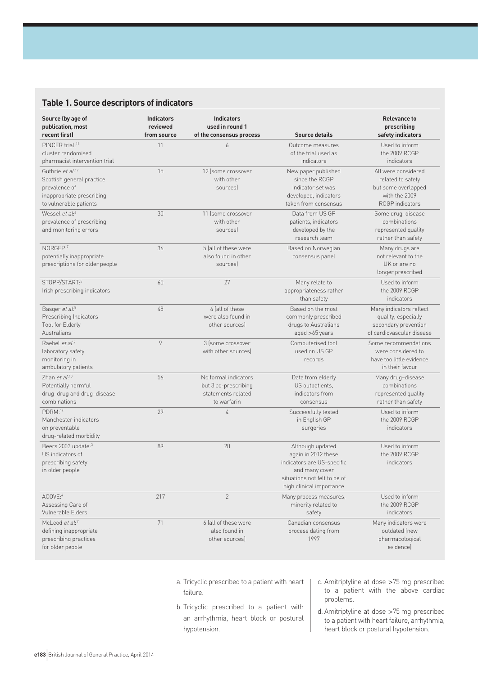# **Table 1. Source descriptors of indicators**

| Source (by age of<br>publication, most<br>recent first)                                                                           | <b>Indicators</b><br>reviewed<br>from source | <b>Indicators</b><br>used in round 1<br>of the consensus process                  | <b>Source details</b>                                                                                                                               | <b>Relevance to</b><br>prescribing<br>safety indicators                                                    |
|-----------------------------------------------------------------------------------------------------------------------------------|----------------------------------------------|-----------------------------------------------------------------------------------|-----------------------------------------------------------------------------------------------------------------------------------------------------|------------------------------------------------------------------------------------------------------------|
| PINCER trial: <sup>16</sup><br>cluster randomised<br>pharmacist intervention trial                                                | 11                                           | 6                                                                                 | Outcome measures<br>of the trial used as<br>indicators                                                                                              | Used to inform<br>the 2009 RCGP<br>indicators                                                              |
| Guthrie et al: <sup>17</sup><br>Scottish general practice<br>prevalence of<br>inappropriate prescribing<br>to vulnerable patients | 15                                           | 12 (some crossover<br>with other<br>sources                                       | New paper published<br>since the RCGP<br>indicator set was<br>developed, indicators<br>taken from consensus                                         | All were considered<br>related to safety<br>but some overlapped<br>with the 2009<br><b>RCGP</b> indicators |
| Wessel et $aI^{6}$<br>prevalence of prescribing<br>and monitoring errors                                                          | 30                                           | 11 (some crossover<br>with other<br>sources                                       | Data from US GP<br>patients, indicators<br>developed by the<br>research team                                                                        | Some drug-disease<br>combinations<br>represented quality<br>rather than safety                             |
| NORGEP:7<br>potentially inappropriate<br>prescriptions for older people                                                           | 36                                           | 5 fall of these were<br>also found in other<br>sources                            | Based on Norwegian<br>consensus panel                                                                                                               | Many drugs are<br>not relevant to the<br>UK or are no<br>longer prescribed                                 |
| STOPP/START:5<br>Irish prescribing indicators                                                                                     | 65                                           | 27                                                                                | Many relate to<br>appropriateness rather<br>than safety                                                                                             | Used to inform<br>the 2009 RCGP<br>indicators                                                              |
| Basger et al: <sup>8</sup><br>Prescribing Indicators<br>Tool for Elderly<br><b>Australians</b>                                    | 48                                           | 4 fall of these<br>were also found in<br>other sources)                           | Based on the most<br>commonly prescribed<br>drugs to Australians<br>aged >65 years                                                                  | Many indicators reflect<br>quality, especially<br>secondary prevention<br>of cardiovascular disease        |
| Raebel et al:9<br>laboratory safety<br>monitoring in<br>ambulatory patients                                                       | 9                                            | 3 (some crossover<br>with other sources)                                          | Computerised tool<br>used on US GP<br>records                                                                                                       | Some recommendations<br>were considered to<br>have too little evidence<br>in their favour                  |
| Zhan et al:10<br>Potentially harmful<br>drug-drug and drug-disease<br>combinations                                                | 56                                           | No formal indicators<br>but 3 co-prescribing<br>statements related<br>to warfarin | Data from elderly<br>US outpatients,<br>indicators from<br>consensus                                                                                | Many drug-disease<br>combinations<br>represented quality<br>rather than safety                             |
| $PDRM:$ <sup>14</sup><br>Manchester indicators<br>on preventable<br>drug-related morbidity                                        | 29                                           | 4                                                                                 | Successfully tested<br>in English GP<br>surgeries                                                                                                   | Used to inform<br>the 2009 RCGP<br>indicators                                                              |
| Beers 2003 update:3<br>US indicators of<br>prescribing safety<br>in older people                                                  | 89                                           | 20                                                                                | Although updated<br>again in 2012 these<br>indicators are US-specific<br>and many cover<br>situations not felt to be of<br>high clinical importance | Used to inform<br>the 2009 RCGP<br>indicators                                                              |
| ACOVE:4<br>Assessing Care of<br>Vulnerable Elders                                                                                 | 217                                          | $\overline{2}$                                                                    | Many process measures,<br>minority related to<br>safety                                                                                             | Used to inform<br>the 2009 RCGP<br>indicators                                                              |
| McLeod et al: <sup>11</sup><br>defining inappropriate<br>prescribing practices<br>for older people                                | 71                                           | 6 (all of these were<br>also found in<br>other sources)                           | Canadian consensus<br>process dating from<br>1997                                                                                                   | Many indicators were<br>outdated (new<br>pharmacological<br>evidence)                                      |

- a. Tricyclic prescribed to a patient with heart failure.
- b. Tricyclic prescribed to a patient with an arrhythmia, heart block or postural hypotension.
- c. Amitriptyline at dose >75 mg prescribed to a patient with the above cardiac problems.
- d. Amitriptyline at dose >75 mg prescribed to a patient with heart failure, arrhythmia, heart block or postural hypotension.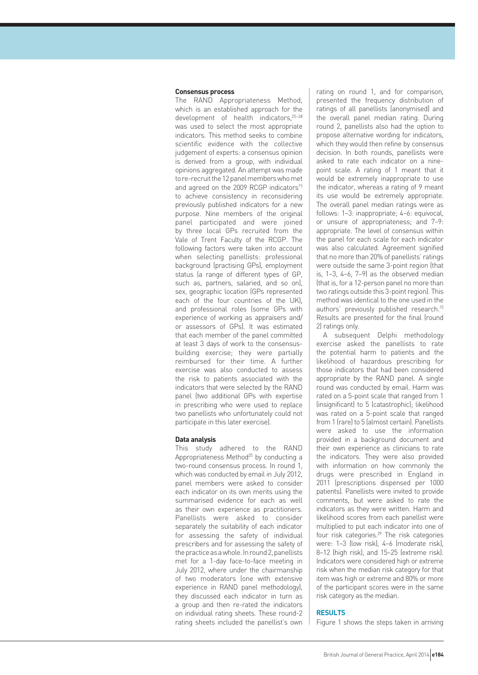#### **Consensus process**

The RAND Appropriateness Method, which is an established approach for the development of health indicators, $25-28$ was used to select the most appropriate indicators. This method seeks to combine scientific evidence with the collective judgement of experts: a consensus opinion is derived from a group, with individual opinions aggregated. An attempt was made to re-recruit the 12 panel members who met and agreed on the 2009 RCGP indicators<sup>15</sup> to achieve consistency in reconsidering previously published indicators for a new purpose. Nine members of the original panel participated and were joined by three local GPs recruited from the Vale of Trent Faculty of the RCGP. The following factors were taken into account when selecting panellists: professional background (practising GPs), employment status (a range of different types of GP, such as, partners, salaried, and so on), sex, geographic location (GPs represented each of the four countries of the UK), and professional roles (some GPs with experience of working as appraisers and/ or assessors of GPs). It was estimated that each member of the panel committed at least 3 days of work to the consensusbuilding exercise; they were partially reimbursed for their time. A further exercise was also conducted to assess the risk to patients associated with the indicators that were selected by the RAND panel (two additional GPs with expertise in prescribing who were used to replace two panellists who unfortunately could not participate in this later exercise).

#### **Data analysis**

This study adhered to the RAND Appropriateness Method<sup>25</sup> by conducting a two-round consensus process. In round 1, which was conducted by email in July 2012, panel members were asked to consider each indicator on its own merits using the summarised evidence for each as well as their own experience as practitioners. Panellists were asked to consider separately the suitability of each indicator for assessing the safety of individual prescribers and for assessing the safety of the practice as a whole. In round 2, panellists met for a 1-day face-to-face meeting in July 2012, where under the chairmanship of two moderators (one with extensive experience in RAND panel methodology), they discussed each indicator in turn as a group and then re-rated the indicators on individual rating sheets. These round-2 rating sheets included the panellist's own

rating on round 1, and for comparison, presented the frequency distribution of ratings of all panellists (anonymised) and the overall panel median rating. During round 2, panellists also had the option to propose alternative wording for indicators, which they would then refine by consensus decision. In both rounds, panellists were asked to rate each indicator on a ninepoint scale. A rating of 1 meant that it would be extremely inappropriate to use the indicator, whereas a rating of 9 meant its use would be extremely appropriate. The overall panel median ratings were as follows: 1–3: inappropriate; 4–6: equivocal, or unsure of appropriateness; and 7–9: appropriate. The level of consensus within the panel for each scale for each indicator was also calculated. Agreement signified that no more than 20% of panellists' ratings were outside the same 3-point region (that is, 1–3, 4–6, 7–9) as the observed median (that is, for a 12-person panel no more than two ratings outside this 3-point region). This method was identical to the one used in the authors' previously published research.15 Results are presented for the final (round 2) ratings only.

A subsequent Delphi methodology exercise asked the panellists to rate the potential harm to patients and the likelihood of hazardous prescribing for those indicators that had been considered appropriate by the RAND panel. A single round was conducted by email. Harm was rated on a 5-point scale that ranged from 1 (insignificant) to 5 (catastrophic); likelihood was rated on a 5-point scale that ranged from 1 (rare) to 5 (almost certain). Panellists were asked to use the information provided in a background document and their own experience as clinicians to rate the indicators. They were also provided with information on how commonly the drugs were prescribed in England in 2011 (prescriptions dispensed per 1000 patients). Panellists were invited to provide comments, but were asked to rate the indicators as they were written. Harm and likelihood scores from each panellist were multiplied to put each indicator into one of four risk categories.<sup>29</sup> The risk categories were: 1–3 (low risk), 4–6 (moderate risk), 8–12 (high risk), and 15–25 (extreme risk). Indicators were considered high or extreme risk when the median risk category for that item was high or extreme and 80% or more of the participant scores were in the same risk category as the median.

#### **RESULTS**

Figure 1 shows the steps taken in arriving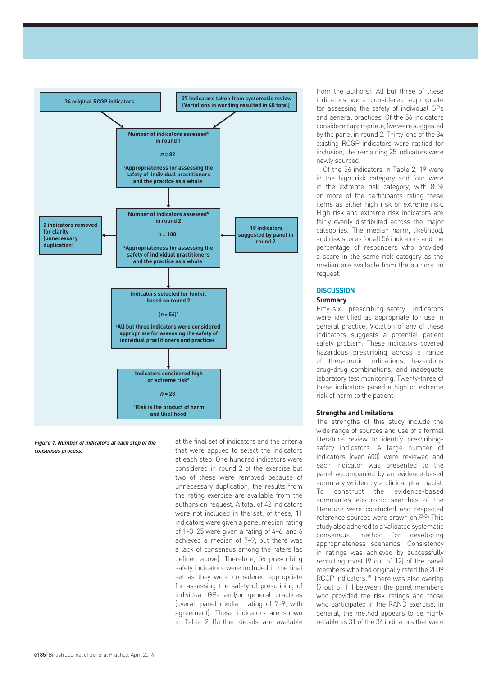

**Figure 1. Number of indicators at each step of the consensus process.**

at the final set of indicators and the criteria that were applied to select the indicators at each step. One hundred indicators were considered in round 2 of the exercise but two of these were removed because of unnecessary duplication; the results from the rating exercise are available from the authors on request. A total of 42 indicators were not included in the set; of these, 11 indicators were given a panel median rating of 1–3, 25 were given a rating of 4–6, and 6 achieved a median of 7–9, but there was a lack of consensus among the raters (as defined above). Therefore, 56 prescribing safety indicators were included in the final set as they were considered appropriate for assessing the safety of prescribing of individual GPs and/or general practices (overall panel median rating of 7–9, with agreement). These indicators are shown in Table 2 (further details are available

from the authors). All but three of these indicators were considered appropriate for assessing the safety of individual GPs and general practices. Of the 56 indicators considered appropriate, five were suggested by the panel in round 2. Thirty-one of the 34 existing RCGP indicators were ratified for inclusion; the remaining 25 indicators were newly sourced.

Of the 56 indicators in Table 2, 19 were in the high risk category and four were in the extreme risk category, with 80% or more of the participants rating these items as either high risk or extreme risk. High risk and extreme risk indicators are fairly evenly distributed across the major categories. The median harm, likelihood, and risk scores for all 56 indicators and the percentage of responders who provided a score in the same risk category as the median are available from the authors on request.

#### **DISCUSSION Summary**

Fifty-six prescribing-safety indicators were identified as appropriate for use in general practice. Violation of any of these indicators suggests a potential patient safety problem. These indicators covered hazardous prescribing across a range of therapeutic indications, hazardous drug–drug combinations, and inadequate laboratory test monitoring. Twenty-three of these indicators posed a high or extreme risk of harm to the patient.

# **Strengths and limitations**

The strengths of this study include the wide range of sources and use of a formal literature review to identify prescribingsafety indicators. A large number of indicators (over 600) were reviewed and each indicator was presented to the panel accompanied by an evidence-based summary written by a clinical pharmacist. To construct the evidence-based summaries electronic searches of the literature were conducted and respected reference sources were drawn on.22–24 This study also adhered to a validated systematic consensus method for developing appropriateness scenarios. Consistency in ratings was achieved by successfully recruiting most (9 out of 12) of the panel members who had originally rated the 2009 RCGP indicators.15 There was also overlap (9 out of 11) between the panel members who provided the risk ratings and those who participated in the RAND exercise. In general, the method appears to be highly reliable as 31 of the 34 indicators that were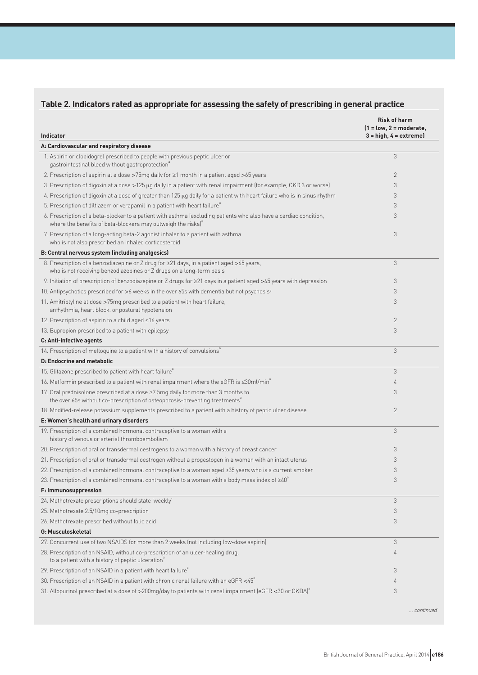# **Table 2. Indicators rated as appropriate for assessing the safety of prescribing in general practice**

| <b>Indicator</b>                                                                                                                                                                              | <b>Risk of harm</b><br>$(1 = low, 2 = moderate,$<br>$3 = high, 4 = extreme$ |
|-----------------------------------------------------------------------------------------------------------------------------------------------------------------------------------------------|-----------------------------------------------------------------------------|
| A: Cardiovascular and respiratory disease                                                                                                                                                     |                                                                             |
| 1. Aspirin or clopidogrel prescribed to people with previous peptic ulcer or<br>gastrointestinal bleed without gastroprotection <sup>ª</sup>                                                  | 3                                                                           |
| 2. Prescription of aspirin at a dose >75mg daily for ≥1 month in a patient aged >65 years                                                                                                     | $\mathbf{2}$                                                                |
| 3. Prescription of digoxin at a dose >125 µg daily in a patient with renal impairment (for example, CKD 3 or worse)                                                                           | 3                                                                           |
| 4. Prescription of digoxin at a dose of greater than 125 µg daily for a patient with heart failure who is in sinus rhythm                                                                     | 3                                                                           |
| 5. Prescription of diltiazem or verapamil in a patient with heart failure <sup>8</sup>                                                                                                        | 3                                                                           |
| 6. Prescription of a beta-blocker to a patient with asthma (excluding patients who also have a cardiac condition,<br>where the benefits of beta-blockers may outweigh the risks) <sup>a</sup> | 3                                                                           |
| 7. Prescription of a long-acting beta-2 agonist inhaler to a patient with asthma<br>who is not also prescribed an inhaled corticosteroid                                                      | 3                                                                           |
| B: Central nervous system (including analgesics)                                                                                                                                              |                                                                             |
| 8. Prescription of a benzodiazepine or Z drug for ≥21 days, in a patient aged >65 years,<br>who is not receiving benzodiazepines or Z drugs on a long-term basis                              | 3                                                                           |
| 9. Initiation of prescription of benzodiazepine or Z drugs for ≥21 days in a patient aged >65 years with depression                                                                           | 3                                                                           |
| 10. Antipsychotics prescribed for >6 weeks in the over 65s with dementia but not psychosis <sup>a</sup>                                                                                       | 3                                                                           |
| 11. Amitriptyline at dose >75mg prescribed to a patient with heart failure,<br>arrhythmia, heart block. or postural hypotension                                                               | 3                                                                           |
| 12. Prescription of aspirin to a child aged ≤16 years                                                                                                                                         | $\mathbf{2}$                                                                |
| 13. Bupropion prescribed to a patient with epilepsy                                                                                                                                           | 3                                                                           |
| C: Anti-infective agents                                                                                                                                                                      |                                                                             |
| 14. Prescription of mefloquine to a patient with a history of convulsions <sup>8</sup>                                                                                                        | 3                                                                           |
| D: Endocrine and metabolic                                                                                                                                                                    |                                                                             |
| 15. Glitazone prescribed to patient with heart failure <sup>®</sup>                                                                                                                           | 3                                                                           |
| 16. Metformin prescribed to a patient with renal impairment where the eGFR is <30ml/min <sup>*</sup>                                                                                          | 4                                                                           |
| 17. Oral prednisolone prescribed at a dose ≥7.5mg daily for more than 3 months to<br>the over 65s without co-prescription of osteoporosis-preventing treatments <sup>®</sup>                  | 3                                                                           |
| 18. Modified-release potassium supplements prescribed to a patient with a history of peptic ulcer disease                                                                                     | $\mathbf{2}$                                                                |
| E: Women's health and urinary disorders                                                                                                                                                       |                                                                             |
| 19. Prescription of a combined hormonal contraceptive to a woman with a<br>history of venous or arterial thromboembolism                                                                      | 3                                                                           |
| 20. Prescription of oral or transdermal oestrogens to a woman with a history of breast cancer                                                                                                 | 3                                                                           |
| 21. Prescription of oral or transdermal oestrogen without a progestogen in a woman with an intact uterus                                                                                      | 3                                                                           |
| 22. Prescription of a combined hormonal contraceptive to a woman aged ≥35 years who is a current smoker                                                                                       | 3                                                                           |
| 23. Prescription of a combined hormonal contraceptive to a woman with a body mass index of $\geq 40^\circ$                                                                                    | 3                                                                           |
| F: Immunosuppression                                                                                                                                                                          |                                                                             |
| 24. Methotrexate prescriptions should state weekly                                                                                                                                            | 3                                                                           |
| 25. Methotrexate 2.5/10mg co-prescription                                                                                                                                                     | 3                                                                           |
| 26. Methotrexate prescribed without folic acid                                                                                                                                                | 3                                                                           |
| G: Musculoskeletal                                                                                                                                                                            |                                                                             |
| 27. Concurrent use of two NSAIDS for more than 2 weeks (not including low-dose aspirin)                                                                                                       | 3                                                                           |
| 28. Prescription of an NSAID, without co-prescription of an ulcer-healing drug,<br>to a patient with a history of peptic ulceration"                                                          | 4                                                                           |
| 29. Prescription of an NSAID in a patient with heart failure <sup>®</sup>                                                                                                                     | 3                                                                           |
| 30. Prescription of an NSAID in a patient with chronic renal failure with an eGFR <45 <sup>°</sup>                                                                                            | 4                                                                           |
| 31. Allopurinol prescribed at a dose of >200mg/day to patients with renal impairment (eGFR <30 or CKDA) <sup>d</sup>                                                                          | 3                                                                           |

... continued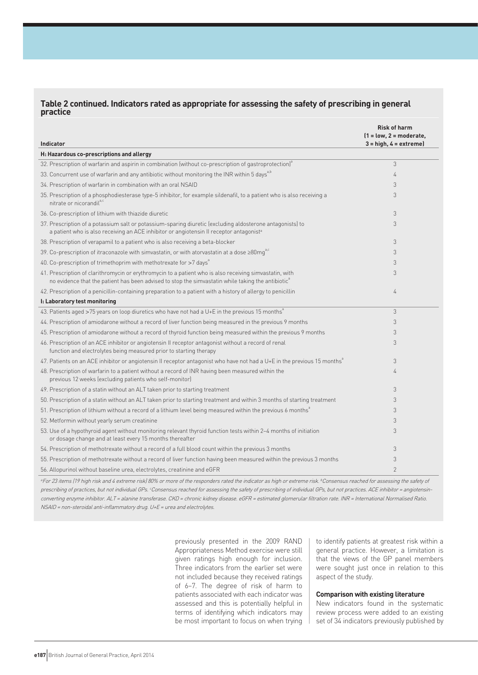# **Table 2 continued. Indicators rated as appropriate for assessing the safety of prescribing in general practice**

|                                                                                                                                                                                                                           | <b>Risk of harm</b><br>$1 = low, 2 = moderate,$ |
|---------------------------------------------------------------------------------------------------------------------------------------------------------------------------------------------------------------------------|-------------------------------------------------|
| Indicator                                                                                                                                                                                                                 | $3 = high, 4 = extreme$                         |
| H: Hazardous co-prescriptions and allergy                                                                                                                                                                                 |                                                 |
| 32. Prescription of warfarin and aspirin in combination (without co-prescription of gastroprotection) <sup>ª</sup>                                                                                                        | 3                                               |
| 33. Concurrent use of warfarin and any antibiotic without monitoring the INR within 5 days <sup>a,b</sup>                                                                                                                 | 4                                               |
| 34. Prescription of warfarin in combination with an oral NSAID                                                                                                                                                            | 3                                               |
| 35. Prescription of a phosphodiesterase type-5 inhibitor, for example sildenafil, to a patient who is also receiving a<br>nitrate or nicorandila,c                                                                        | 3                                               |
| 36. Co-prescription of lithium with thiazide diuretic                                                                                                                                                                     | 3                                               |
| 37. Prescription of a potassium salt or potassium-sparing diuretic (excluding aldosterone antagonists) to<br>a patient who is also receiving an ACE inhibitor or angiotensin II receptor antagonist <sup>a</sup>          | 3                                               |
| 38. Prescription of verapamil to a patient who is also receiving a beta-blocker                                                                                                                                           | 3                                               |
| 39. Co-prescription of itraconazole with simvastatin, or with atorvastatin at a dose ≥80mg <sup>a,c</sup>                                                                                                                 | 3                                               |
| 40. Co-prescription of trimethoprim with methotrexate for >7 days <sup>8</sup>                                                                                                                                            | 3                                               |
| 41. Prescription of clarithromycin or erythromycin to a patient who is also receiving simvastatin, with<br>no evidence that the patient has been advised to stop the simvastatin while taking the antibiotic <sup>a</sup> | 3                                               |
| 42. Prescription of a penicillin-containing preparation to a patient with a history of allergy to penicillin                                                                                                              | 4                                               |
| I: Laboratory test monitoring                                                                                                                                                                                             |                                                 |
| 43. Patients aged >75 years on loop diuretics who have not had a U+E in the previous 15 months <sup>8</sup>                                                                                                               | 3                                               |
| 44. Prescription of amiodarone without a record of liver function being measured in the previous 9 months                                                                                                                 | 3                                               |
| 45. Prescription of amiodarone without a record of thyroid function being measured within the previous 9 months                                                                                                           | 3                                               |
| 46. Prescription of an ACE inhibitor or angiotensin II receptor antagonist without a record of renal<br>function and electrolytes being measured prior to starting therapy                                                | 3                                               |
| 47. Patients on an ACE inhibitor or angiotensin II receptor antagonist who have not had a U+E in the previous 15 months <sup>a</sup>                                                                                      | 3                                               |
| 48. Prescription of warfarin to a patient without a record of INR having been measured within the<br>previous 12 weeks (excluding patients who self-monitor)                                                              | 4                                               |
| 49. Prescription of a statin without an ALT taken prior to starting treatment                                                                                                                                             | 3                                               |
| 50. Prescription of a statin without an ALT taken prior to starting treatment and within 3 months of starting treatment                                                                                                   | 3                                               |
| 51. Prescription of lithium without a record of a lithium level being measured within the previous 6 months <sup>ª</sup>                                                                                                  | 3                                               |
| 52. Metformin without yearly serum creatinine                                                                                                                                                                             | 3                                               |
| 53. Use of a hypothyroid agent without monitoring relevant thyroid function tests within 2-4 months of initiation<br>or dosage change and at least every 15 months thereafter                                             | 3                                               |
| 54. Prescription of methotrexate without a record of a full blood count within the previous 3 months                                                                                                                      | 3                                               |
| 55. Prescription of methotrexate without a record of liver function having been measured within the previous 3 months                                                                                                     | 3                                               |
| 56. Allopurinol without baseline urea, electrolytes, creatinine and eGFR                                                                                                                                                  | $\overline{2}$                                  |

<sup>a</sup>For 23 items (19 high risk and 4 extreme risk) 80% or more of the responders rated the indicator as high or extreme risk. <sup>b</sup>Consensus reached for assessing the safety of prescribing of practices, but not individual GPs. Consensus reached for assessing the safety of prescribing of individual GPs, but not practices. ACE inhibitor = angiotensinconverting enzyme inhibitor. ALT = alanine transferase. CKD = chronic kidney disease. eGFR = estimated glomerular filtration rate. INR = International Normalised Ratio. NSAID = non-steroidal anti-inflammatory drug. U+E = urea and electrolytes.

> previously presented in the 2009 RAND Appropriateness Method exercise were still given ratings high enough for inclusion. Three indicators from the earlier set were not included because they received ratings of 6–7. The degree of risk of harm to patients associated with each indicator was assessed and this is potentially helpful in terms of identifying which indicators may be most important to focus on when trying

to identify patients at greatest risk within a general practice. However, a limitation is that the views of the GP panel members were sought just once in relation to this aspect of the study.

#### **Comparison with existing literature**

New indicators found in the systematic review process were added to an existing set of 34 indicators previously published by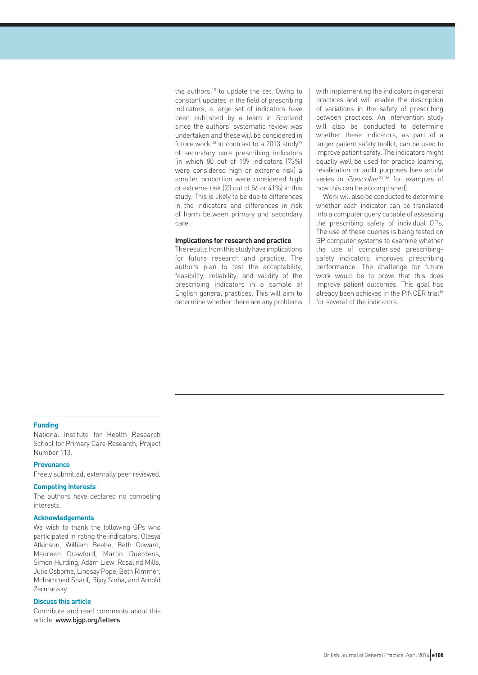the authors, $15$  to update the set. Owing to constant updates in the field of prescribing indicators, a large set of indicators have been published by a team in Scotland since the authors' systematic review was undertaken and these will be considered in future work. $30$  In contrast to a 2013 study $29$ of secondary care prescribing indicators (in which 80 out of 109 indicators (73%) were considered high or extreme risk) a smaller proportion were considered high or extreme risk (23 out of 56 or 41%) in this study. This is likely to be due to differences in the indicators and differences in risk of harm between primary and secondary care.

#### **Implications for research and practice**

The results from this study have implications for future research and practice. The authors plan to test the acceptability, feasibility, reliability, and validity of the prescribing indicators in a sample of English general practices. This will aim to determine whether there are any problems with implementing the indicators in general practices and will enable the description of variations in the safety of prescribing between practices. An intervention study will also be conducted to determine whether these indicators, as part of a larger patient safety toolkit, can be used to improve patient safety. The indicators might equally well be used for practice learning, revalidation or audit purposes (see article series in *Prescriber*<sup>31-36</sup> for examples of how this can be accomplished).

Work will also be conducted to determine whether each indicator can be translated into a computer query capable of assessing the prescribing safety of individual GPs. The use of these queries is being tested on GP computer systems to examine whether the use of computerised prescribingsafety indicators improves prescribing performance. The challenge for future work would be to prove that this does improve patient outcomes. This goal has already been achieved in the PINCER trial<sup>16</sup> for several of the indicators.

#### **Funding**

National Institute for Health Research School for Primary Care Research, Project Number 113.

#### **Provenance**

Freely submitted; externally peer reviewed.

# **Competing interests**

The authors have declared no competing interests.

#### **Acknowledgements**

We wish to thank the following GPs who participated in rating the indicators: Olesya Atkinson, William Beebe, Beth Coward, Maureen Crawford, Martin Duerdens, Simon Hurding, Adam Liew, Rosalind Mills, Julie Osborne, Lindsay Pope, Beth Rimmer, Mohammed Sharif, Bijoy Sinha, and Arnold Zermansky.

#### **Discuss this article**

Contribute and read comments about this article: www.bjgp.org/letters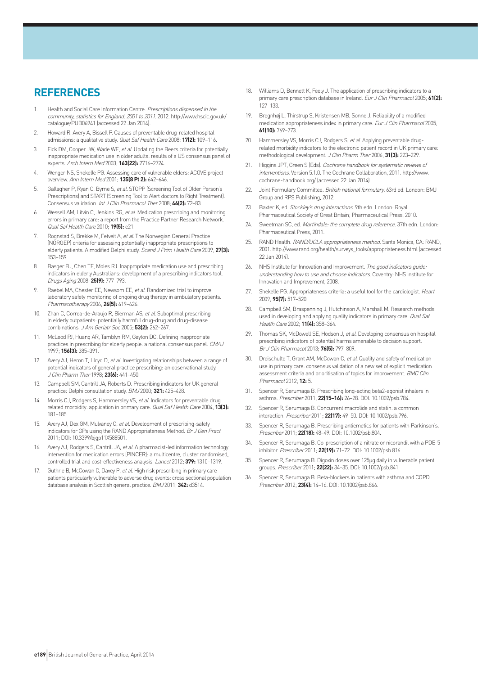# **REFERENCES**

- 1. Health and Social Care Information Centre. Prescriptions dispensed in the community, statistics for England: 2001 to 2011. 2012. http://www.hscic.gov.uk/ catalogue/PUB06941 (accessed 22 Jan 2014).
- 2. Howard R, Avery A, Bissell P. Causes of preventable drug-related hospital admissions: a qualitative study. Qual Saf Health Care 2008; **17(2):** 109–116.
- 3. Fick DM, Cooper JW, Wade WE, et al. Updating the Beers criteria for potentially inappropriate medication use in older adults: results of a US consensus panel of experts. Arch Intern Med 2003; **163(22):** 2716–2724.
- 4. Wenger NS, Shekelle PG. Assessing care of vulnerable elders: ACOVE project overview. Ann Intern Med 2001; **135(8 Pt 2):** 642–646.
- 5. Gallagher P, Ryan C, Byrne S, et al. STOPP (Screening Tool of Older Person's Prescriptions) and START (Screening Tool to Alert doctors to Right Treatment). Consensus validation. Int J Clin Pharmacol Ther 2008; **46(2):** 72–83.
- 6. Wessell AM, Litvin C, Jenkins RG, et al. Medication prescribing and monitoring errors in primary care: a report from the Practice Partner Research Network. Qual Saf Health Care 2010; **19(5):** e21.
- 7. Rognstad S, Brekke M, Fetveit A, et al. The Norwegian General Practice (NORGEP) criteria for assessing potentially inappropriate prescriptions to elderly patients. A modified Delphi study. Scand J Prim Health Care 2009; **27(3):** 153–159.
- 8. Basger BJ, Chen TF, Moles RJ. Inappropriate medication use and prescribing indicators in elderly Australians: development of a prescribing indicators tool. Drugs Aging 2008; **25(9):** 777–793.
- 9. Raebel MA, Chester EE, Newsom EE, et al. Randomized trial to improve laboratory safety monitoring of ongoing drug therapy in ambulatory patients. Pharmacotherapy 2006; **26(5):** 619–626.
- 10. Zhan C, Correa-de-Araujo R, Bierman AS, et al. Suboptimal prescribing in elderly outpatients: potentially harmful drug-drug and drug-disease combinations. J Am Geriatr Soc 2005; **53(2):** 262–267.
- McLeod PJ, Huang AR, Tamblyn RM, Gayton DC. Defining inappropriate practices in prescribing for elderly people: a national consensus panel. CMAJ 1997; **156(3):** 385–391.
- 12. Avery AJ, Heron T, Lloyd D, et al. Investigating relationships between a range of potential indicators of general practice prescribing: an observational study. J Clin Pharm Ther 1998; **23(6):** 441–450.
- 13. Campbell SM, Cantrill JA, Roberts D. Prescribing indicators for UK general practice: Delphi consultation study. BMJ 2000; **321:** 425–428.
- 14. Morris CJ, Rodgers S, Hammersley VS, et al. Indicators for preventable drug related morbidity: application in primary care. Qual Saf Health Care 2004; **13(3):** 181–185.
- 15. Avery AJ, Dex GM, Mulvaney C, et al. Development of prescribing-safety indicators for GPs using the RAND Appropriateness Method. Br J Gen Pract 2011; DOI: 10.3399/bjgp11X588501.
- Avery AJ, Rodgers S, Cantrill JA, et al. A pharmacist-led information technology intervention for medication errors (PINCER): a multicentre, cluster randomised, controlled trial and cost-effectiveness analysis. Lancet 2012; **379:** 1310–1319.
- 17. Guthrie B, McCowan C, Davey P, et al. High risk prescribing in primary care patients particularly vulnerable to adverse drug events: cross sectional population database analysis in Scottish general practice. BMJ 2011; **342:** d3514.
- 18. Williams D, Bennett K, Feely J. The application of prescribing indicators to a primary care prescription database in Ireland. Eur J Clin Pharmacol 2005; **61(2):** 127–133.
- 19. Bregnhøj L, Thirstrup S, Kristensen MB, Sonne J. Reliability of a modified medication appropriateness index in primary care. Eur J Clin Pharmacol 2005; **61(10):** 769–773.
- 20. Hammersley VS, Morris CJ, Rodgers S, et al. Applying preventable drugrelated morbidity indicators to the electronic patient record in UK primary care: methodological development. J Clin Pharm Ther 2006; **31(3):** 223–229.
- 21. Higgins JPT, Green S (Eds). Cochrane handbook for systematic reviews of interventions. Version 5.1.0. The Cochrane Collaboration, 2011. http://www. cochrane-handbook.org/ (accessed 22 Jan 2014).
- 22. Joint Formulary Committee. British national formulary. 63rd ed. London: BMJ Group and RPS Publishing, 2012.
- 23. Baxter K, ed. Stockley's drug interactions. 9th edn. London: Royal Pharmaceutical Society of Great Britain; Pharmaceutical Press, 2010.
- 24. Sweetman SC, ed. Martindale: the complete drug reference. 37th edn. London: Pharmaceutical Press, 2011.
- 25. RAND Health. RAND/UCLA appropriateness method. Santa Monica, CA: RAND, 2001. http://www.rand.org/health/surveys\_tools/appropriateness.html (accessed 22 Jan 2014).
- 26. NHS Institute for Innovation and Improvement. The good indicators guide: understanding how to use and choose indicators. Coventry: NHS Institute for Innovation and Improvement, 2008.
- 27. Shekelle PG. Appropriateness criteria: a useful tool for the cardiologist. Heart 2009; **95(7):** 517–520.
- 28. Campbell SM, Braspenning J, Hutchinson A, Marshall M, Research methods used in developing and applying quality indicators in primary care. Qual Saf Health Care 2002; **11(4):** 358–364.
- 29. Thomas SK, McDowell SE, Hodson J, et al. Developing consensus on hospital prescribing indicators of potential harms amenable to decision support. Br J Clin Pharmacol 2013; **76(5):** 797–809.
- 30. Dreischulte T, Grant AM, McCowan C, et al. Quality and safety of medication use in primary care: consensus validation of a new set of explicit medication assessment criteria and prioritisation of topics for improvement. BMC Clin Pharmacol 2012; **12:** 5.
- Spencer R, Serumaga B. Prescribing long-acting beta2-agonist inhalers in asthma. Prescriber 2011; **22(15–16):** 26–28. DOI: 10.1002/psb.784.
- 32. Spencer R, Serumaga B. Concurrent macrolide and statin: a common interaction. Prescriber 2011; **22(17):** 49–50. DOI: 10.1002/psb.796.
- 33. Spencer R, Serumaga B. Prescribing antiemetics for patients with Parkinson's. Prescriber 2011; **22(18):** 48–49. DOI: 10.1002/psb.804.
- 34. Spencer R, Serumaga B. Co-prescription of a nitrate or nicorandil with a PDE-5 inhibitor. Prescriber 2011; **22(19):** 71–72. DOI: 10.1002/psb.816.
- 35. Spencer R, Serumaga B. Digoxin doses over 125μg daily in vulnerable patient groups. Prescriber 2011; **22(22):** 34–35. DOI: 10.1002/psb.841.
- 36. Spencer R, Serumaga B. Beta-blockers in patients with asthma and COPD. Prescriber 2012; **23(4):** 14–16. DOI: 10.1002/psb.866.